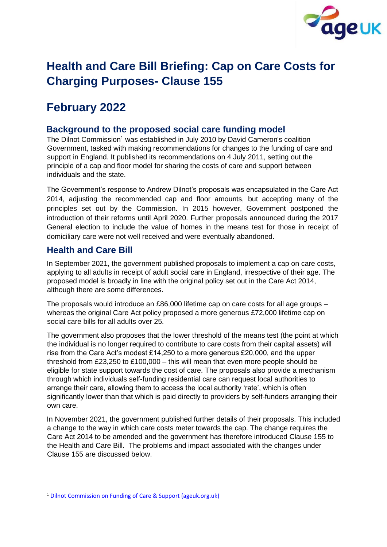

# **Health and Care Bill Briefing: Cap on Care Costs for Charging Purposes- Clause 155**

# **February 2022**

### **Background to the proposed social care funding model**

The Dilnot Commission<sup>1</sup> was established in July 2010 by David Cameron's coalition Government, tasked with making recommendations for changes to the funding of care and support in England. It published its recommendations on 4 July 2011, setting out the principle of a cap and floor model for sharing the costs of care and support between individuals and the state.

The Government's response to Andrew Dilnot's proposals was encapsulated in the Care Act 2014, adjusting the recommended cap and floor amounts, but accepting many of the principles set out by the Commission. In 2015 however, Government postponed the introduction of their reforms until April 2020. Further proposals announced during the 2017 General election to include the value of homes in the means test for those in receipt of domiciliary care were not well received and were eventually abandoned.

### **Health and Care Bill**

In September 2021, the government published proposals to implement a cap on care costs, applying to all adults in receipt of adult social care in England, irrespective of their age. The proposed model is broadly in line with the original policy set out in the Care Act 2014, although there are some differences.

The proposals would introduce an £86,000 lifetime cap on care costs for all age groups – whereas the original Care Act policy proposed a more generous £72,000 lifetime cap on social care bills for all adults over 25.

The government also proposes that the lower threshold of the means test (the point at which the individual is no longer required to contribute to care costs from their capital assets) will rise from the Care Act's modest £14,250 to a more generous £20,000, and the upper threshold from £23,250 to £100,000 – this will mean that even more people should be eligible for state support towards the cost of care. The proposals also provide a mechanism through which individuals self-funding residential care can request local authorities to arrange their care, allowing them to access the local authority 'rate', which is often significantly lower than that which is paid directly to providers by self-funders arranging their own care.

In November 2021, the government published further details of their proposals. This included a change to the way in which care costs meter towards the cap. The change requires the Care Act 2014 to be amended and the government has therefore introduced Clause 155 to the Health and Care Bill. The problems and impact associated with the changes under Clause 155 are discussed below.

<sup>1</sup> [Dilnot Commission on Funding of Care & Support \(ageuk.org.uk\)](https://www.ageuk.org.uk/information-advice/care/dilnot-commission/)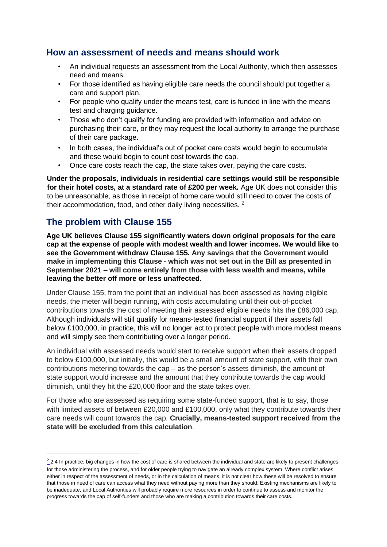### **How an assessment of needs and means should work**

- An individual requests an assessment from the Local Authority, which then assesses need and means.
- For those identified as having eligible care needs the council should put together a care and support plan.
- For people who qualify under the means test, care is funded in line with the means test and charging guidance.
- Those who don't qualify for funding are provided with information and advice on purchasing their care, or they may request the local authority to arrange the purchase of their care package.
- In both cases, the individual's out of pocket care costs would begin to accumulate and these would begin to count cost towards the cap.
- Once care costs reach the cap, the state takes over, paying the care costs.

**Under the proposals, individuals in residential care settings would still be responsible for their hotel costs, at a standard rate of £200 per week.** Age UK does not consider this to be unreasonable, as those in receipt of home care would still need to cover the costs of their accommodation, food, and other daily living necessities.<sup>2</sup>

### **The problem with Clause 155**

**Age UK believes Clause 155 significantly waters down original proposals for the care cap at the expense of people with modest wealth and lower incomes. We would like to see the Government withdraw Clause 155. Any savings that the Government would make in implementing this Clause - which was not set out in the Bill as presented in September 2021 – will come entirely from those with less wealth and means, while leaving the better off more or less unaffected.**

Under Clause 155, from the point that an individual has been assessed as having eligible needs, the meter will begin running, with costs accumulating until their out-of-pocket contributions towards the cost of meeting their assessed eligible needs hits the £86,000 cap. Although individuals will still qualify for means-tested financial support if their assets fall below £100,000, in practice, this will no longer act to protect people with more modest means and will simply see them contributing over a longer period.

An individual with assessed needs would start to receive support when their assets dropped to below £100,000, but initially, this would be a small amount of state support, with their own contributions metering towards the cap – as the person's assets diminish, the amount of state support would increase and the amount that they contribute towards the cap would diminish, until they hit the £20,000 floor and the state takes over.

For those who are assessed as requiring some state-funded support, that is to say, those with limited assets of between £20,000 and £100,000, only what they contribute towards their care needs will count towards the cap. **Crucially, means-tested support received from the state will be excluded from this calculation**.

 $\frac{2}{2}$  2.4 In practice, big changes in how the cost of care is shared between the individual and state are likely to present challenges for those administering the process, and for older people trying to navigate an already complex system. Where conflict arises either in respect of the assessment of needs, or in the calculation of means, it is not clear how these will be resolved to ensure that those in need of care can access what they need without paying more than they should. Existing mechanisms are likely to be inadequate, and Local Authorities will probably require more resources in order to continue to assess and monitor the progress towards the cap of self-funders and those who are making a contribution towards their care costs.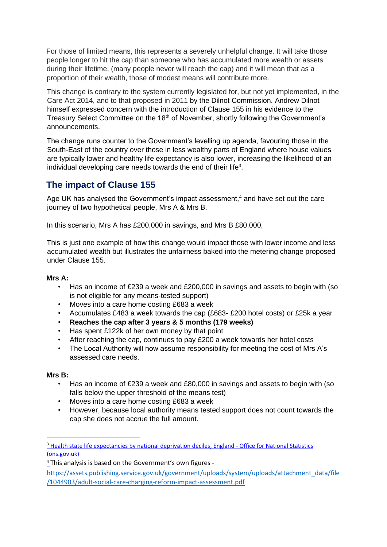For those of limited means, this represents a severely unhelpful change. It will take those people longer to hit the cap than someone who has accumulated more wealth or assets during their lifetime, (many people never will reach the cap) and it will mean that as a proportion of their wealth, those of modest means will contribute more.

This change is contrary to the system currently legislated for, but not yet implemented, in the Care Act 2014, and to that proposed in 2011 by the Dilnot Commission. Andrew Dilnot himself expressed concern with the introduction of Clause 155 in his evidence to the Treasury Select Committee on the 18<sup>th</sup> of November, shortly following the Government's announcements.

The change runs counter to the Government's levelling up agenda, favouring those in the South-East of the country over those in less wealthy parts of England where house values are typically lower and healthy life expectancy is also lower, increasing the likelihood of an individual developing care needs towards the end of their life<sup>3</sup>.

## **The impact of Clause 155**

Age UK has analysed the Government's impact assessment, $4$  and have set out the care journey of two hypothetical people, Mrs A & Mrs B.

In this scenario, Mrs A has £200,000 in savings, and Mrs B £80,000,

This is just one example of how this change would impact those with lower income and less accumulated wealth but illustrates the unfairness baked into the metering change proposed under Clause 155.

#### **Mrs A:**

- Has an income of £239 a week and £200,000 in savings and assets to begin with (so is not eligible for any means-tested support)
- Moves into a care home costing £683 a week
- Accumulates £483 a week towards the cap (£683- £200 hotel costs) or £25k a year
- **Reaches the cap after 3 years & 5 months (179 weeks)**
- Has spent £122k of her own money by that point
- After reaching the cap, continues to pay £200 a week towards her hotel costs
- The Local Authority will now assume responsibility for meeting the cost of Mrs A's assessed care needs.

#### **Mrs B:**

- Has an income of £239 a week and £80,000 in savings and assets to begin with (so falls below the upper threshold of the means test)
- Moves into a care home costing £683 a week
- However, because local authority means tested support does not count towards the cap she does not accrue the full amount.

<sup>&</sup>lt;sup>3</sup> [Health state life expectancies by national deprivation deciles, England -](https://www.ons.gov.uk/peoplepopulationandcommunity/healthandsocialcare/healthinequalities/bulletins/healthstatelifeexpectanciesbyindexofmultipledeprivationimd/latest) [Office for National Statistics](https://www.ons.gov.uk/peoplepopulationandcommunity/healthandsocialcare/healthinequalities/bulletins/healthstatelifeexpectanciesbyindexofmultipledeprivationimd/latest) [\(ons.gov.uk\)](https://www.ons.gov.uk/peoplepopulationandcommunity/healthandsocialcare/healthinequalities/bulletins/healthstatelifeexpectanciesbyindexofmultipledeprivationimd/latest)

<sup>4</sup> This analysis is based on the Government's own figures -

https://assets.publishing.service.gov.uk/government/uploads/system/uploads/attachment\_data/file [/1044903/adult-social-care-charging-reform-impact-assessment.pdf](https://eur02.safelinks.protection.outlook.com/?url=https%3A%2F%2Fassets.publishing.service.gov.uk%2Fgovernment%2Fuploads%2Fsystem%2Fuploads%2Fattachment_data%2Ffile%2F1044903%2Fadult-social-care-charging-reform-impact-assessment.pdf&data=04%7C01%7CElizabeth.Webb%40ageuk.org.uk%7C23ce26ad98804870610108d9dd021e51%7C143e1d48881647bc83de7c3dac270e2f%7C0%7C0%7C637783823432768181%7CUnknown%7CTWFpbGZsb3d8eyJWIjoiMC4wLjAwMDAiLCJQIjoiV2luMzIiLCJBTiI6Ik1haWwiLCJXVCI6Mn0%3D%7C3000&sdata=%2FvAeMqUZWXsM7hYW%2F0B72tdBRmcDdMebpYfRza%2BNgN4%3D&reserved=0)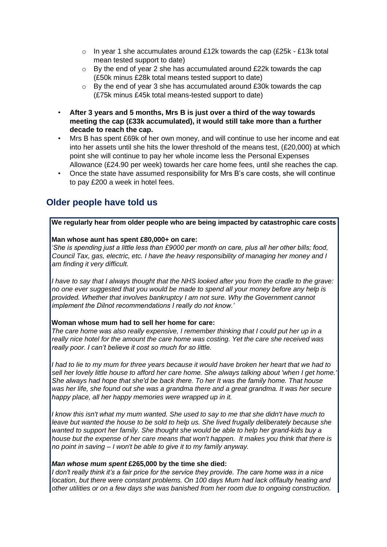- $\circ$  In year 1 she accumulates around £12k towards the cap (£25k £13k total mean tested support to date)
- $\circ$  By the end of year 2 she has accumulated around £22k towards the cap (£50k minus £28k total means tested support to date)
- o By the end of year 3 she has accumulated around £30k towards the cap (£75k minus £45k total means-tested support to date)
- **After 3 years and 5 months, Mrs B is just over a third of the way towards meeting the cap (£33k accumulated), it would still take more than a further decade to reach the cap.**
- Mrs B has spent £69k of her own money, and will continue to use her income and eat into her assets until she hits the lower threshold of the means test, (£20,000) at which point she will continue to pay her whole income less the Personal Expenses Allowance (£24.90 per week) towards her care home fees, until she reaches the cap.
- Once the state have assumed responsibility for Mrs B's care costs, she will continue to pay £200 a week in hotel fees.

### **Older people have told us**

#### **We regularly hear from older people who are being impacted by catastrophic care costs**

#### **Man whose aunt has spent £80,000+ on care:**

*'She is spending just a little less than £9000 per month on care, plus all her other bills; food, Council Tax, gas, electric, etc. I have the heavy responsibility of managing her money and I am finding it very difficult.* 

*I have to say that I always thought that the NHS looked after you from the cradle to the grave: no one ever suggested that you would be made to spend all your money before any help is provided. Whether that involves bankruptcy I am not sure. Why the Government cannot implement the Dilnot recommendations I really do not know.'* 

#### **Woman whose mum had to sell her home for care:**

*The care home was also really expensive, I remember thinking that I could put her up in a really nice hotel for the amount the care home was costing. Yet the care she received was really poor. I can't believe it cost so much for so little.* 

*I had to lie to my mum for three years because it would have broken her heart that we had to sell her lovely little house to afford her care home. She always talking about 'when I get home.' She always had hope that she'd be back there. To her It was the family home. That house*  was her life, she found out she was a grandma there and a great grandma. It was her secure *happy place, all her happy memories were wrapped up in it.* 

*I know this isn't what my mum wanted. She used to say to me that she didn't have much to leave but wanted the house to be sold to help us. She lived frugally deliberately because she wanted to support her family. She thought she would be able to help her grand-kids buy a house but the expense of her care means that won't happen. It makes you think that there is no point in saving – I won't be able to give it to my family anyway.* 

#### *Man whose mum spent* **£265,000 by the time she died:**

*I don't really think it's a fair price for the service they provide. The care home was in a nice location, but there were constant problems. On 100 days Mum had lack of/faulty heating and other utilities or on a few days she was banished from her room due to ongoing construction.*